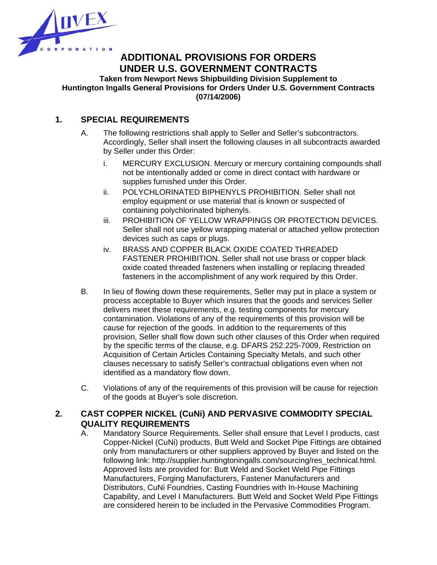

# **ADDITIONAL PROVISIONS FOR ORDERS UNDER U.S. GOVERNMENT CONTRACTS**

**Taken from Newport News Shipbuilding Division Supplement to Huntington Ingalls General Provisions for Orders Under U.S. Government Contracts (07/14/2006)**

#### **1. SPECIAL REQUIREMENTS**

- A. The following restrictions shall apply to Seller and Seller's subcontractors. Accordingly, Seller shall insert the following clauses in all subcontracts awarded by Seller under this Order:
	- i. MERCURY EXCLUSION. Mercury or mercury containing compounds shall not be intentionally added or come in direct contact with hardware or supplies furnished under this Order.
	- ii. POLYCHLORINATED BIPHENYLS PROHIBITION. Seller shall not employ equipment or use material that is known or suspected of containing polychlorinated biphenyls.
	- iii. PROHIBITION OF YELLOW WRAPPINGS OR PROTECTION DEVICES. Seller shall not use yellow wrapping material or attached yellow protection devices such as caps or plugs.
	- iv. BRASS AND COPPER BLACK OXIDE COATED THREADED FASTENER PROHIBITION. Seller shall not use brass or copper black oxide coated threaded fasteners when installing or replacing threaded fasteners in the accomplishment of any work required by this Order.
- B. In lieu of flowing down these requirements, Seller may put in place a system or process acceptable to Buyer which insures that the goods and services Seller delivers meet these requirements, e.g. testing components for mercury contamination. Violations of any of the requirements of this provision will be cause for rejection of the goods. In addition to the requirements of this provision, Seller shall flow down such other clauses of this Order when required by the specific terms of the clause, e.g. DFARS 252.225-7009, Restriction on Acquisition of Certain Articles Containing Specialty Metals, and such other clauses necessary to satisfy Seller's contractual obligations even when not identified as a mandatory flow down.
- C. Violations of any of the requirements of this provision will be cause for rejection of the goods at Buyer's sole discretion.

### **2. CAST COPPER NICKEL (CuNi) AND PERVASIVE COMMODITY SPECIAL QUALITY REQUIREMENTS**

 A. Mandatory Source Requirements. Seller shall ensure that Level I products, cast Copper-Nickel (CuNi) products, Butt Weld and Socket Pipe Fittings are obtained only from manufacturers or other suppliers approved by Buyer and listed on the following link: http://supplier.huntingtoningalls.com/sourcing/res\_technical.html. Approved lists are provided for: Butt Weld and Socket Weld Pipe Fittings Manufacturers, Forging Manufacturers, Fastener Manufacturers and Distributors, CuNi Foundries, Casting Foundries with In-House Machining Capability, and Level I Manufacturers. Butt Weld and Socket Weld Pipe Fittings are considered herein to be included in the Pervasive Commodities Program.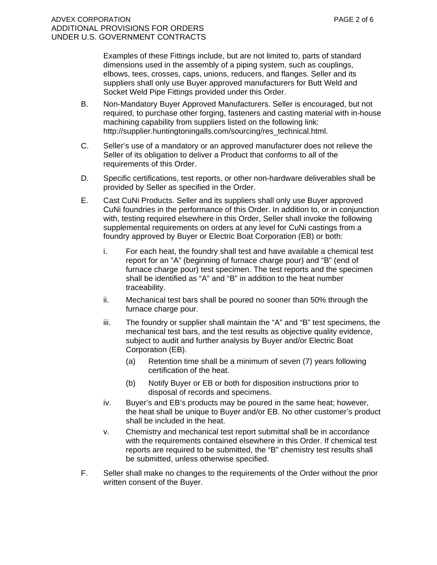Examples of these Fittings include, but are not limited to, parts of standard dimensions used in the assembly of a piping system, such as couplings, elbows, tees, crosses, caps, unions, reducers, and flanges. Seller and its suppliers shall only use Buyer approved manufacturers for Butt Weld and Socket Weld Pipe Fittings provided under this Order.

- B. Non-Mandatory Buyer Approved Manufacturers. Seller is encouraged, but not required, to purchase other forging, fasteners and casting material with in-house machining capability from suppliers listed on the following link: http://supplier.huntingtoningalls.com/sourcing/res\_technical.html.
- C. Seller's use of a mandatory or an approved manufacturer does not relieve the Seller of its obligation to deliver a Product that conforms to all of the requirements of this Order.
- D. Specific certifications, test reports, or other non-hardware deliverables shall be provided by Seller as specified in the Order.
- E. Cast CuNi Products. Seller and its suppliers shall only use Buyer approved CuNi foundries in the performance of this Order. In addition to, or in conjunction with, testing required elsewhere in this Order, Seller shall invoke the following supplemental requirements on orders at any level for CuNi castings from a foundry approved by Buyer or Electric Boat Corporation (EB) or both:
	- i. For each heat, the foundry shall test and have available a chemical test report for an "A" (beginning of furnace charge pour) and "B" (end of furnace charge pour) test specimen. The test reports and the specimen shall be identified as "A" and "B" in addition to the heat number traceability.
	- ii. Mechanical test bars shall be poured no sooner than 50% through the furnace charge pour.
	- iii. The foundry or supplier shall maintain the "A" and "B" test specimens, the mechanical test bars, and the test results as objective quality evidence, subject to audit and further analysis by Buyer and/or Electric Boat Corporation (EB).
		- (a) Retention time shall be a minimum of seven (7) years following certification of the heat.
		- (b) Notify Buyer or EB or both for disposition instructions prior to disposal of records and specimens.
	- iv. Buyer's and EB's products may be poured in the same heat; however, the heat shall be unique to Buyer and/or EB. No other customer's product shall be included in the heat.
	- v. Chemistry and mechanical test report submittal shall be in accordance with the requirements contained elsewhere in this Order. If chemical test reports are required to be submitted, the "B" chemistry test results shall be submitted, unless otherwise specified.
- F. Seller shall make no changes to the requirements of the Order without the prior written consent of the Buyer.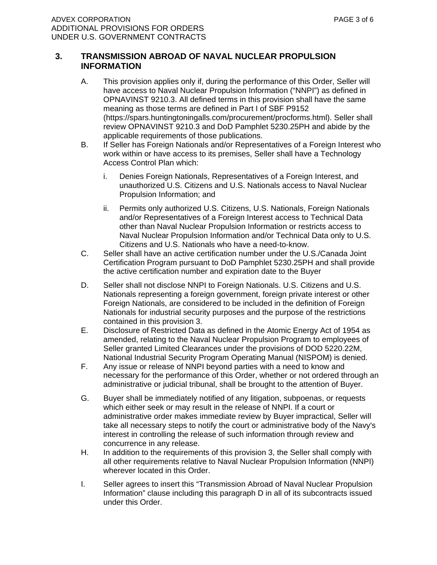#### **3. TRANSMISSION ABROAD OF NAVAL NUCLEAR PROPULSION INFORMATION**

- A. This provision applies only if, during the performance of this Order, Seller will have access to Naval Nuclear Propulsion Information ("NNPI") as defined in OPNAVINST 9210.3. All defined terms in this provision shall have the same meaning as those terms are defined in Part I of SBF P9152 (https://spars.huntingtoningalls.com/procurement/procforms.html). Seller shall review OPNAVINST 9210.3 and DoD Pamphlet 5230.25PH and abide by the applicable requirements of those publications.
- B. If Seller has Foreign Nationals and/or Representatives of a Foreign Interest who work within or have access to its premises, Seller shall have a Technology Access Control Plan which:
	- i. Denies Foreign Nationals, Representatives of a Foreign Interest, and unauthorized U.S. Citizens and U.S. Nationals access to Naval Nuclear Propulsion Information; and
	- ii. Permits only authorized U.S. Citizens, U.S. Nationals, Foreign Nationals and/or Representatives of a Foreign Interest access to Technical Data other than Naval Nuclear Propulsion Information or restricts access to Naval Nuclear Propulsion Information and/or Technical Data only to U.S. Citizens and U.S. Nationals who have a need-to-know.
- C. Seller shall have an active certification number under the U.S./Canada Joint Certification Program pursuant to DoD Pamphlet 5230.25PH and shall provide the active certification number and expiration date to the Buyer
- D. Seller shall not disclose NNPI to Foreign Nationals. U.S. Citizens and U.S. Nationals representing a foreign government, foreign private interest or other Foreign Nationals, are considered to be included in the definition of Foreign Nationals for industrial security purposes and the purpose of the restrictions contained in this provision 3.
- E. Disclosure of Restricted Data as defined in the Atomic Energy Act of 1954 as amended, relating to the Naval Nuclear Propulsion Program to employees of Seller granted Limited Clearances under the provisions of DOD 5220.22M, National Industrial Security Program Operating Manual (NISPOM) is denied.
- F. Any issue or release of NNPI beyond parties with a need to know and necessary for the performance of this Order, whether or not ordered through an administrative or judicial tribunal, shall be brought to the attention of Buyer.
- G. Buyer shall be immediately notified of any litigation, subpoenas, or requests which either seek or may result in the release of NNPI. If a court or administrative order makes immediate review by Buyer impractical, Seller will take all necessary steps to notify the court or administrative body of the Navy's interest in controlling the release of such information through review and concurrence in any release.
- H. In addition to the requirements of this provision 3, the Seller shall comply with all other requirements relative to Naval Nuclear Propulsion Information (NNPI) wherever located in this Order.
- I. Seller agrees to insert this "Transmission Abroad of Naval Nuclear Propulsion Information" clause including this paragraph D in all of its subcontracts issued under this Order.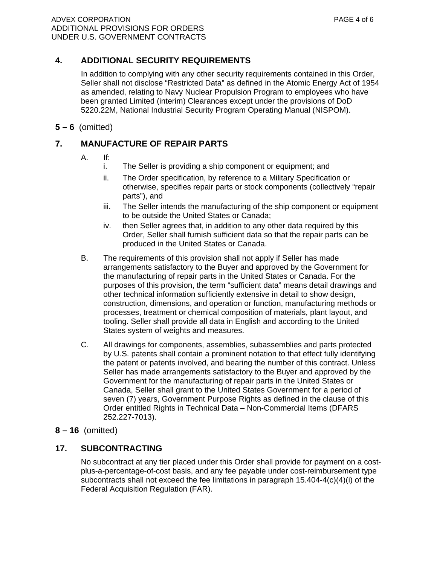## **4. ADDITIONAL SECURITY REQUIREMENTS**

 In addition to complying with any other security requirements contained in this Order, Seller shall not disclose "Restricted Data" as defined in the Atomic Energy Act of 1954 as amended, relating to Navy Nuclear Propulsion Program to employees who have been granted Limited (interim) Clearances except under the provisions of DoD 5220.22M, National Industrial Security Program Operating Manual (NISPOM).

**5 – 6** (omitted)

## **7. MANUFACTURE OF REPAIR PARTS**

- A. If:
	- i. The Seller is providing a ship component or equipment; and
	- ii. The Order specification, by reference to a Military Specification or otherwise, specifies repair parts or stock components (collectively "repair parts"), and
	- iii. The Seller intends the manufacturing of the ship component or equipment to be outside the United States or Canada;
	- iv. then Seller agrees that, in addition to any other data required by this Order, Seller shall furnish sufficient data so that the repair parts can be produced in the United States or Canada.
- B. The requirements of this provision shall not apply if Seller has made arrangements satisfactory to the Buyer and approved by the Government for the manufacturing of repair parts in the United States or Canada. For the purposes of this provision, the term "sufficient data" means detail drawings and other technical information sufficiently extensive in detail to show design, construction, dimensions, and operation or function, manufacturing methods or processes, treatment or chemical composition of materials, plant layout, and tooling. Seller shall provide all data in English and according to the United States system of weights and measures.
- C. All drawings for components, assemblies, subassemblies and parts protected by U.S. patents shall contain a prominent notation to that effect fully identifying the patent or patents involved, and bearing the number of this contract. Unless Seller has made arrangements satisfactory to the Buyer and approved by the Government for the manufacturing of repair parts in the United States or Canada, Seller shall grant to the United States Government for a period of seven (7) years, Government Purpose Rights as defined in the clause of this Order entitled Rights in Technical Data – Non-Commercial Items (DFARS 252.227-7013).
- **8 16** (omitted)

## **17. SUBCONTRACTING**

 No subcontract at any tier placed under this Order shall provide for payment on a costplus-a-percentage-of-cost basis, and any fee payable under cost-reimbursement type subcontracts shall not exceed the fee limitations in paragraph  $15.404 - 4(c)(4)(i)$  of the Federal Acquisition Regulation (FAR).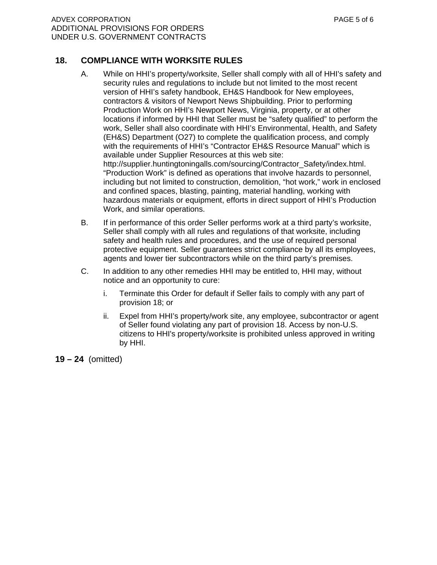### **18. COMPLIANCE WITH WORKSITE RULES**

- A. While on HHI's property/worksite, Seller shall comply with all of HHI's safety and security rules and regulations to include but not limited to the most recent version of HHI's safety handbook, EH&S Handbook for New employees, contractors & visitors of Newport News Shipbuilding. Prior to performing Production Work on HHI's Newport News, Virginia, property, or at other locations if informed by HHI that Seller must be "safety qualified" to perform the work, Seller shall also coordinate with HHI's Environmental, Health, and Safety (EH&S) Department (O27) to complete the qualification process, and comply with the requirements of HHI's "Contractor EH&S Resource Manual" which is available under Supplier Resources at this web site: [http://supplier.huntingtoningalls.com/sourcing/Contractor\\_Safety/index.html.](http://supplier.huntingtoningalls.com/sourcing/Contractor_Safety/index.html) "Production Work" is defined as operations that involve hazards to personnel, including but not limited to construction, demolition, "hot work," work in enclosed and confined spaces, blasting, painting, material handling, working with hazardous materials or equipment, efforts in direct support of HHI's Production Work, and similar operations.
- B. If in performance of this order Seller performs work at a third party's worksite, Seller shall comply with all rules and regulations of that worksite, including safety and health rules and procedures, and the use of required personal protective equipment. Seller guarantees strict compliance by all its employees, agents and lower tier subcontractors while on the third party's premises.
- C. In addition to any other remedies HHI may be entitled to, HHI may, without notice and an opportunity to cure:
	- i. Terminate this Order for default if Seller fails to comply with any part of provision 18; or
	- ii. Expel from HHI's property/work site, any employee, subcontractor or agent of Seller found violating any part of provision 18. Access by non-U.S. citizens to HHI's property/worksite is prohibited unless approved in writing by HHI.

**19 – 24** (omitted)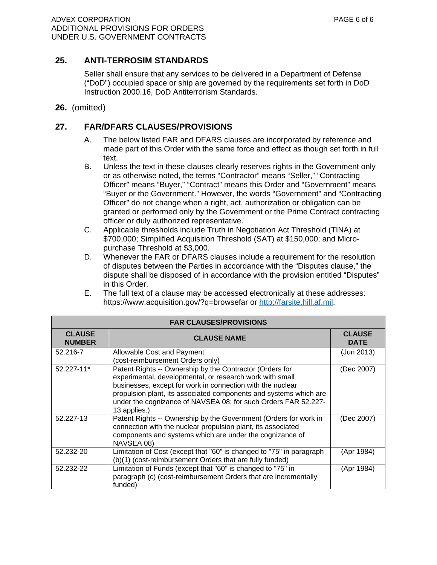### **25. ANTI-TERROSIM STANDARDS**

Seller shall ensure that any services to be delivered in a Department of Defense ("DoD") occupied space or ship are governed by the requirements set forth in DoD Instruction 2000.16, DoD Antiterrorism Standards.

**26.** (omitted)

#### **27. FAR/DFARS CLAUSES/PROVISIONS**

- A. The below listed FAR and DFARS clauses are incorporated by reference and made part of this Order with the same force and effect as though set forth in full text.
- B. Unless the text in these clauses clearly reserves rights in the Government only or as otherwise noted, the terms "Contractor" means "Seller," "Contracting Officer" means "Buyer," "Contract" means this Order and "Government" means "Buyer or the Government." However, the words "Government" and "Contracting Officer" do not change when a right, act, authorization or obligation can be granted or performed only by the Government or the Prime Contract contracting officer or duly authorized representative.
- C. Applicable thresholds include Truth in Negotiation Act Threshold (TINA) at \$700,000; Simplified Acquisition Threshold (SAT) at \$150,000; and Micropurchase Threshold at \$3,000.
- D. Whenever the FAR or DFARS clauses include a requirement for the resolution of disputes between the Parties in accordance with the "Disputes clause," the dispute shall be disposed of in accordance with the provision entitled "Disputes" in this Order.
- E. The full text of a clause may be accessed electronically at these addresses: <https://www.acquisition.gov/?q=browsefar>or [http://farsite.hill.af.mil.](http://farsite.hill.af.mil)

| <b>FAR CLAUSES/PROVISIONS</b>  |                                                                                                                                                                                                                                                                                                                                           |                              |  |
|--------------------------------|-------------------------------------------------------------------------------------------------------------------------------------------------------------------------------------------------------------------------------------------------------------------------------------------------------------------------------------------|------------------------------|--|
| <b>CLAUSE</b><br><b>NUMBER</b> | <b>CLAUSE NAME</b>                                                                                                                                                                                                                                                                                                                        | <b>CLAUSE</b><br><b>DATE</b> |  |
| 52.216-7                       | Allowable Cost and Payment<br>(cost-reimbursement Orders only)                                                                                                                                                                                                                                                                            | (Jun 2013)                   |  |
| 52.227-11*                     | Patent Rights -- Ownership by the Contractor (Orders for<br>experimental, developmental, or research work with small<br>businesses, except for work in connection with the nuclear<br>propulsion plant, its associated components and systems which are<br>under the cognizance of NAVSEA 08; for such Orders FAR 52.227-<br>13 applies.) | (Dec 2007)                   |  |
| 52.227-13                      | Patent Rights -- Ownership by the Government (Orders for work in<br>connection with the nuclear propulsion plant, its associated<br>components and systems which are under the cognizance of<br>NAVSEA 08)                                                                                                                                | (Dec 2007)                   |  |
| 52.232-20                      | Limitation of Cost (except that "60" is changed to "75" in paragraph<br>(b)(1) (cost-reimbursement Orders that are fully funded)                                                                                                                                                                                                          | (Apr 1984)                   |  |
| 52.232-22                      | Limitation of Funds (except that "60" is changed to "75" in<br>paragraph (c) (cost-reimbursement Orders that are incrementally<br>funded)                                                                                                                                                                                                 | (Apr 1984)                   |  |